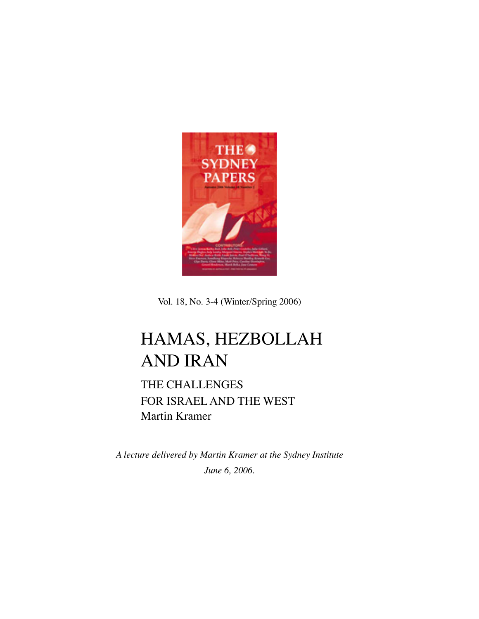

Vol. 18, No. 3-4 (Winter/Spring 2006)

## HAMAS, HEZBOLLAH AND IRAN

THE CHALLENGES FOR ISRAEL AND THE WEST Martin Kramer

*A lecture delivered by Martin Kramer at the Sydney Institute June 6, 2006.*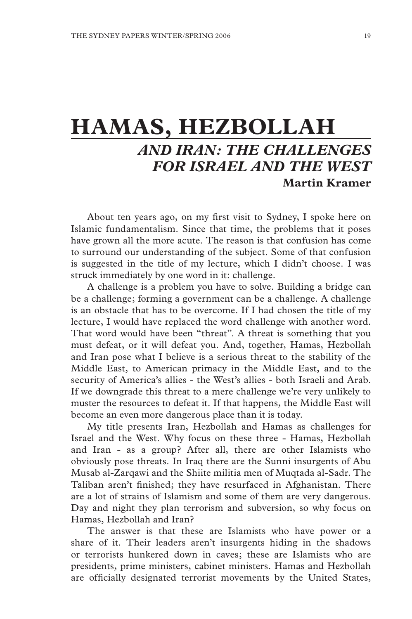## **HAMAS, HEZBOLLAH** *AND IRAN: THE CHALLENGES FOR ISRAEL AND THE WEST* **Martin Kramer**

About ten years ago, on my first visit to Sydney, I spoke here on Islamic fundamentalism. Since that time, the problems that it poses have grown all the more acute. The reason is that confusion has come to surround our understanding of the subject. Some of that confusion is suggested in the title of my lecture, which I didn't choose. I was struck immediately by one word in it: challenge.

A challenge is a problem you have to solve. Building a bridge can be a challenge; forming a government can be a challenge. A challenge is an obstacle that has to be overcome. If I had chosen the title of my lecture, I would have replaced the word challenge with another word. That word would have been "threat". A threat is something that you must defeat, or it will defeat you. And, together, Hamas, Hezbollah and Iran pose what I believe is a serious threat to the stability of the Middle East, to American primacy in the Middle East, and to the security of America's allies - the West's allies - both Israeli and Arab. If we downgrade this threat to a mere challenge we're very unlikely to muster the resources to defeat it. If that happens, the Middle East will become an even more dangerous place than it is today.

My title presents Iran, Hezbollah and Hamas as challenges for Israel and the West. Why focus on these three - Hamas, Hezbollah and Iran - as a group? After all, there are other Islamists who obviously pose threats. In Iraq there are the Sunni insurgents of Abu Musab al-Zarqawi and the Shiite militia men of Muqtada al-Sadr. The Taliban aren't finished; they have resurfaced in Afghanistan. There are a lot of strains of Islamism and some of them are very dangerous. Day and night they plan terrorism and subversion, so why focus on Hamas, Hezbollah and Iran?

The answer is that these are Islamists who have power or a share of it. Their leaders aren't insurgents hiding in the shadows or terrorists hunkered down in caves; these are Islamists who are presidents, prime ministers, cabinet ministers. Hamas and Hezbollah are officially designated terrorist movements by the United States,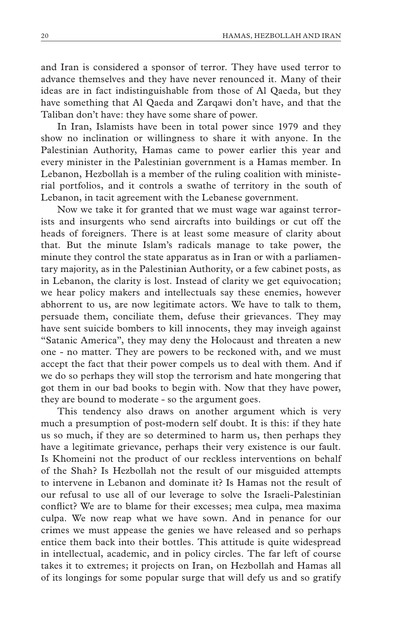and Iran is considered a sponsor of terror. They have used terror to advance themselves and they have never renounced it. Many of their ideas are in fact indistinguishable from those of Al Qaeda, but they have something that Al Qaeda and Zarqawi don't have, and that the Taliban don't have: they have some share of power.

In Iran, Islamists have been in total power since 1979 and they show no inclination or willingness to share it with anyone. In the Palestinian Authority, Hamas came to power earlier this year and every minister in the Palestinian government is a Hamas member. In Lebanon, Hezbollah is a member of the ruling coalition with ministerial portfolios, and it controls a swathe of territory in the south of Lebanon, in tacit agreement with the Lebanese government.

Now we take it for granted that we must wage war against terrorists and insurgents who send aircrafts into buildings or cut off the heads of foreigners. There is at least some measure of clarity about that. But the minute Islam's radicals manage to take power, the minute they control the state apparatus as in Iran or with a parliamentary majority, as in the Palestinian Authority, or a few cabinet posts, as in Lebanon, the clarity is lost. Instead of clarity we get equivocation; we hear policy makers and intellectuals say these enemies, however abhorrent to us, are now legitimate actors. We have to talk to them, persuade them, conciliate them, defuse their grievances. They may have sent suicide bombers to kill innocents, they may inveigh against "Satanic America", they may deny the Holocaust and threaten a new one - no matter. They are powers to be reckoned with, and we must accept the fact that their power compels us to deal with them. And if we do so perhaps they will stop the terrorism and hate mongering that got them in our bad books to begin with. Now that they have power, they are bound to moderate - so the argument goes.

This tendency also draws on another argument which is very much a presumption of post-modern self doubt. It is this: if they hate us so much, if they are so determined to harm us, then perhaps they have a legitimate grievance, perhaps their very existence is our fault. Is Khomeini not the product of our reckless interventions on behalf of the Shah? Is Hezbollah not the result of our misguided attempts to intervene in Lebanon and dominate it? Is Hamas not the result of our refusal to use all of our leverage to solve the Israeli-Palestinian conflict? We are to blame for their excesses; mea culpa, mea maxima culpa. We now reap what we have sown. And in penance for our crimes we must appease the genies we have released and so perhaps entice them back into their bottles. This attitude is quite widespread in intellectual, academic, and in policy circles. The far left of course takes it to extremes; it projects on Iran, on Hezbollah and Hamas all of its longings for some popular surge that will defy us and so gratify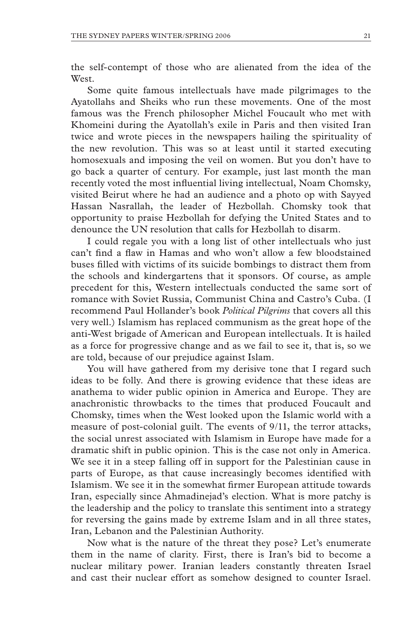the self-contempt of those who are alienated from the idea of the **West** 

Some quite famous intellectuals have made pilgrimages to the Ayatollahs and Sheiks who run these movements. One of the most famous was the French philosopher Michel Foucault who met with Khomeini during the Ayatollah's exile in Paris and then visited Iran twice and wrote pieces in the newspapers hailing the spirituality of the new revolution. This was so at least until it started executing homosexuals and imposing the veil on women. But you don't have to go back a quarter of century. For example, just last month the man recently voted the most influential living intellectual, Noam Chomsky, visited Beirut where he had an audience and a photo op with Sayyed Hassan Nasrallah, the leader of Hezbollah. Chomsky took that opportunity to praise Hezbollah for defying the United States and to denounce the UN resolution that calls for Hezbollah to disarm.

I could regale you with a long list of other intellectuals who just can't find a flaw in Hamas and who won't allow a few bloodstained buses filled with victims of its suicide bombings to distract them from the schools and kindergartens that it sponsors. Of course, as ample precedent for this, Western intellectuals conducted the same sort of romance with Soviet Russia, Communist China and Castro's Cuba. (I recommend Paul Hollander's book *Political Pilgrims* that covers all this very well.) Islamism has replaced communism as the great hope of the anti-West brigade of American and European intellectuals. It is hailed as a force for progressive change and as we fail to see it, that is, so we are told, because of our prejudice against Islam.

You will have gathered from my derisive tone that I regard such ideas to be folly. And there is growing evidence that these ideas are anathema to wider public opinion in America and Europe. They are anachronistic throwbacks to the times that produced Foucault and Chomsky, times when the West looked upon the Islamic world with a measure of post-colonial guilt. The events of 9/11, the terror attacks, the social unrest associated with Islamism in Europe have made for a dramatic shift in public opinion. This is the case not only in America. We see it in a steep falling off in support for the Palestinian cause in parts of Europe, as that cause increasingly becomes identified with Islamism. We see it in the somewhat firmer European attitude towards Iran, especially since Ahmadinejad's election. What is more patchy is the leadership and the policy to translate this sentiment into a strategy for reversing the gains made by extreme Islam and in all three states, Iran, Lebanon and the Palestinian Authority.

Now what is the nature of the threat they pose? Let's enumerate them in the name of clarity. First, there is Iran's bid to become a nuclear military power. Iranian leaders constantly threaten Israel and cast their nuclear effort as somehow designed to counter Israel.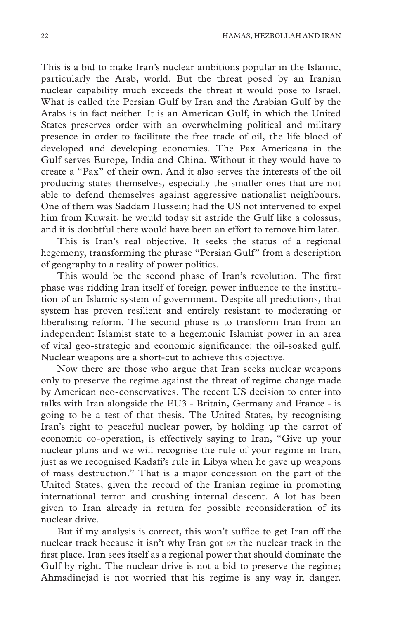This is a bid to make Iran's nuclear ambitions popular in the Islamic, particularly the Arab, world. But the threat posed by an Iranian nuclear capability much exceeds the threat it would pose to Israel. What is called the Persian Gulf by Iran and the Arabian Gulf by the Arabs is in fact neither. It is an American Gulf, in which the United States preserves order with an overwhelming political and military presence in order to facilitate the free trade of oil, the life blood of developed and developing economies. The Pax Americana in the Gulf serves Europe, India and China. Without it they would have to create a "Pax" of their own. And it also serves the interests of the oil producing states themselves, especially the smaller ones that are not able to defend themselves against aggressive nationalist neighbours. One of them was Saddam Hussein; had the US not intervened to expel him from Kuwait, he would today sit astride the Gulf like a colossus, and it is doubtful there would have been an effort to remove him later.

This is Iran's real objective. It seeks the status of a regional hegemony, transforming the phrase "Persian Gulf" from a description of geography to a reality of power politics.

This would be the second phase of Iran's revolution. The first phase was ridding Iran itself of foreign power influence to the institution of an Islamic system of government. Despite all predictions, that system has proven resilient and entirely resistant to moderating or liberalising reform. The second phase is to transform Iran from an independent Islamist state to a hegemonic Islamist power in an area of vital geo-strategic and economic significance: the oil-soaked gulf. Nuclear weapons are a short-cut to achieve this objective.

Now there are those who argue that Iran seeks nuclear weapons only to preserve the regime against the threat of regime change made by American neo-conservatives. The recent US decision to enter into talks with Iran alongside the EU3 - Britain, Germany and France - is going to be a test of that thesis. The United States, by recognising Iran's right to peaceful nuclear power, by holding up the carrot of economic co-operation, is effectively saying to Iran, "Give up your nuclear plans and we will recognise the rule of your regime in Iran, just as we recognised Kadafi's rule in Libya when he gave up weapons of mass destruction." That is a major concession on the part of the United States, given the record of the Iranian regime in promoting international terror and crushing internal descent. A lot has been given to Iran already in return for possible reconsideration of its nuclear drive.

But if my analysis is correct, this won't suffice to get Iran off the nuclear track because it isn't why Iran got *on* the nuclear track in the first place. Iran sees itself as a regional power that should dominate the Gulf by right. The nuclear drive is not a bid to preserve the regime; Ahmadinejad is not worried that his regime is any way in danger.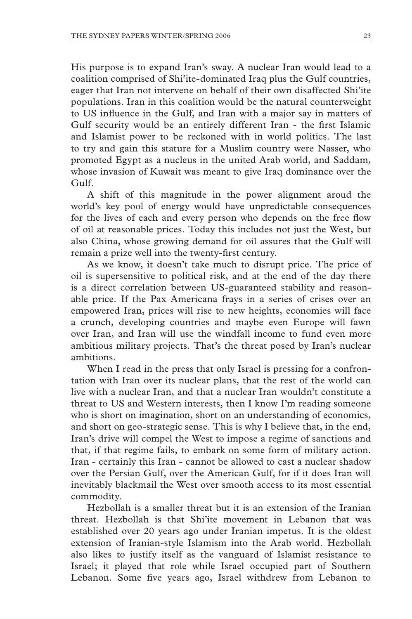His purpose is to expand Iran's sway. A nuclear Iran would lead to a coalition comprised of Shi'ite-dominated Iraq plus the Gulf countries, eager that Iran not intervene on behalf of their own disaffected Shi'ite populations. Iran in this coalition would be the natural counterweight to US influence in the Gulf, and Iran with a major say in matters of Gulf security would be an entirely different Iran - the first Islamic and Islamist power to be reckoned with in world politics. The last to try and gain this stature for a Muslim country were Nasser, who promoted Egypt as a nucleus in the united Arab world, and Saddam, whose invasion of Kuwait was meant to give Iraq dominance over the Gulf.

A shift of this magnitude in the power alignment aroud the world's key pool of energy would have unpredictable consequences for the lives of each and every person who depends on the free flow of oil at reasonable prices. Today this includes not just the West, but also China, whose growing demand for oil assures that the Gulf will remain a prize well into the twenty-first century.

As we know, it doesn't take much to disrupt price. The price of oil is supersensitive to political risk, and at the end of the day there is a direct correlation between US-guaranteed stability and reasonable price. If the Pax Americana frays in a series of crises over an empowered Iran, prices will rise to new heights, economies will face a crunch, developing countries and maybe even Europe will fawn over Iran, and Iran will use the windfall income to fund even more ambitious military projects. That's the threat posed by Iran's nuclear ambitions.

When I read in the press that only Israel is pressing for a confrontation with Iran over its nuclear plans, that the rest of the world can live with a nuclear Iran, and that a nuclear Iran wouldn't constitute a threat to US and Western interests, then I know I'm reading someone who is short on imagination, short on an understanding of economics, and short on geo-strategic sense. This is why I believe that, in the end, Iran's drive will compel the West to impose a regime of sanctions and that, if that regime fails, to embark on some form of military action. Iran - certainly this Iran - cannot be allowed to cast a nuclear shadow over the Persian Gulf, over the American Gulf, for if it does Iran will inevitably blackmail the West over smooth access to its most essential commodity.

Hezbollah is a smaller threat but it is an extension of the Iranian threat. Hezbollah is that Shi'ite movement in Lebanon that was established over 20 years ago under Iranian impetus. It is the oldest extension of Iranian-style Islamism into the Arab world. Hezbollah also likes to justify itself as the vanguard of Islamist resistance to Israel; it played that role while Israel occupied part of Southern Lebanon. Some five years ago, Israel withdrew from Lebanon to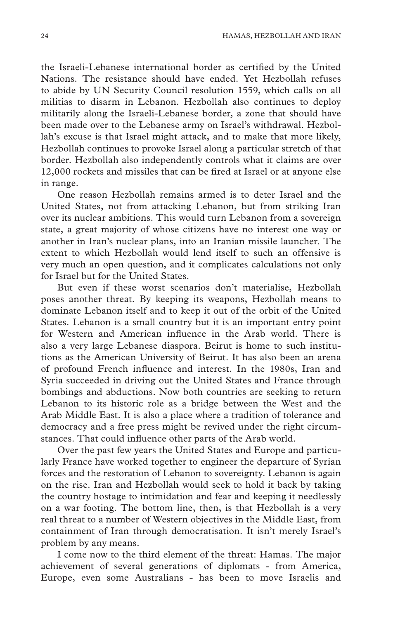the Israeli-Lebanese international border as certified by the United Nations. The resistance should have ended. Yet Hezbollah refuses to abide by UN Security Council resolution 1559, which calls on all militias to disarm in Lebanon. Hezbollah also continues to deploy militarily along the Israeli-Lebanese border, a zone that should have been made over to the Lebanese army on Israel's withdrawal. Hezbollah's excuse is that Israel might attack, and to make that more likely, Hezbollah continues to provoke Israel along a particular stretch of that border. Hezbollah also independently controls what it claims are over 12,000 rockets and missiles that can be fired at Israel or at anyone else in range.

One reason Hezbollah remains armed is to deter Israel and the United States, not from attacking Lebanon, but from striking Iran over its nuclear ambitions. This would turn Lebanon from a sovereign state, a great majority of whose citizens have no interest one way or another in Iran's nuclear plans, into an Iranian missile launcher. The extent to which Hezbollah would lend itself to such an offensive is very much an open question, and it complicates calculations not only for Israel but for the United States.

But even if these worst scenarios don't materialise, Hezbollah poses another threat. By keeping its weapons, Hezbollah means to dominate Lebanon itself and to keep it out of the orbit of the United States. Lebanon is a small country but it is an important entry point for Western and American influence in the Arab world. There is also a very large Lebanese diaspora. Beirut is home to such institutions as the American University of Beirut. It has also been an arena of profound French influence and interest. In the 1980s, Iran and Syria succeeded in driving out the United States and France through bombings and abductions. Now both countries are seeking to return Lebanon to its historic role as a bridge between the West and the Arab Middle East. It is also a place where a tradition of tolerance and democracy and a free press might be revived under the right circumstances. That could influence other parts of the Arab world.

Over the past few years the United States and Europe and particularly France have worked together to engineer the departure of Syrian forces and the restoration of Lebanon to sovereignty. Lebanon is again on the rise. Iran and Hezbollah would seek to hold it back by taking the country hostage to intimidation and fear and keeping it needlessly on a war footing. The bottom line, then, is that Hezbollah is a very real threat to a number of Western objectives in the Middle East, from containment of Iran through democratisation. It isn't merely Israel's problem by any means.

I come now to the third element of the threat: Hamas. The major achievement of several generations of diplomats - from America, Europe, even some Australians - has been to move Israelis and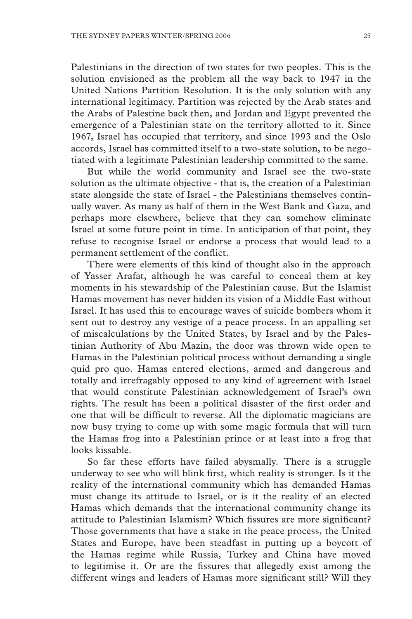Palestinians in the direction of two states for two peoples. This is the solution envisioned as the problem all the way back to 1947 in the United Nations Partition Resolution. It is the only solution with any international legitimacy. Partition was rejected by the Arab states and the Arabs of Palestine back then, and Jordan and Egypt prevented the emergence of a Palestinian state on the territory allotted to it. Since 1967, Israel has occupied that territory, and since 1993 and the Oslo accords, Israel has committed itself to a two-state solution, to be negotiated with a legitimate Palestinian leadership committed to the same.

But while the world community and Israel see the two-state solution as the ultimate objective - that is, the creation of a Palestinian state alongside the state of Israel - the Palestinians themselves continually waver. As many as half of them in the West Bank and Gaza, and perhaps more elsewhere, believe that they can somehow eliminate Israel at some future point in time. In anticipation of that point, they refuse to recognise Israel or endorse a process that would lead to a permanent settlement of the conflict.

There were elements of this kind of thought also in the approach of Yasser Arafat, although he was careful to conceal them at key moments in his stewardship of the Palestinian cause. But the Islamist Hamas movement has never hidden its vision of a Middle East without Israel. It has used this to encourage waves of suicide bombers whom it sent out to destroy any vestige of a peace process. In an appalling set of miscalculations by the United States, by Israel and by the Palestinian Authority of Abu Mazin, the door was thrown wide open to Hamas in the Palestinian political process without demanding a single quid pro quo. Hamas entered elections, armed and dangerous and totally and irrefragably opposed to any kind of agreement with Israel that would constitute Palestinian acknowledgement of Israel's own rights. The result has been a political disaster of the first order and one that will be difficult to reverse. All the diplomatic magicians are now busy trying to come up with some magic formula that will turn the Hamas frog into a Palestinian prince or at least into a frog that looks kissable.

So far these efforts have failed abysmally. There is a struggle underway to see who will blink first, which reality is stronger. Is it the reality of the international community which has demanded Hamas must change its attitude to Israel, or is it the reality of an elected Hamas which demands that the international community change its attitude to Palestinian Islamism? Which fissures are more significant? Those governments that have a stake in the peace process, the United States and Europe, have been steadfast in putting up a boycott of the Hamas regime while Russia, Turkey and China have moved to legitimise it. Or are the fissures that allegedly exist among the different wings and leaders of Hamas more significant still? Will they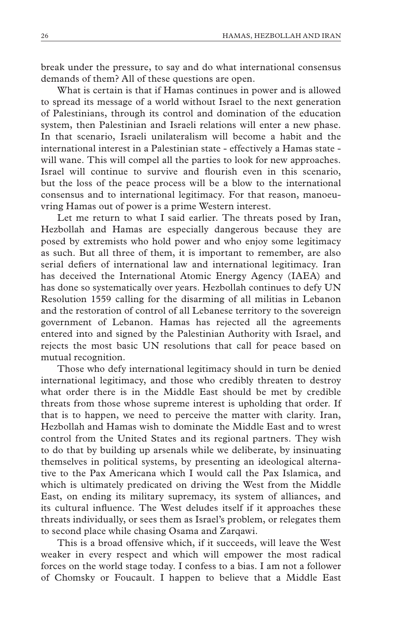break under the pressure, to say and do what international consensus demands of them? All of these questions are open.

What is certain is that if Hamas continues in power and is allowed to spread its message of a world without Israel to the next generation of Palestinians, through its control and domination of the education system, then Palestinian and Israeli relations will enter a new phase. In that scenario, Israeli unilateralism will become a habit and the international interest in a Palestinian state - effectively a Hamas state will wane. This will compel all the parties to look for new approaches. Israel will continue to survive and flourish even in this scenario, but the loss of the peace process will be a blow to the international consensus and to international legitimacy. For that reason, manoeuvring Hamas out of power is a prime Western interest.

Let me return to what I said earlier. The threats posed by Iran, Hezbollah and Hamas are especially dangerous because they are posed by extremists who hold power and who enjoy some legitimacy as such. But all three of them, it is important to remember, are also serial defiers of international law and international legitimacy. Iran has deceived the International Atomic Energy Agency (IAEA) and has done so systematically over years. Hezbollah continues to defy UN Resolution 1559 calling for the disarming of all militias in Lebanon and the restoration of control of all Lebanese territory to the sovereign government of Lebanon. Hamas has rejected all the agreements entered into and signed by the Palestinian Authority with Israel, and rejects the most basic UN resolutions that call for peace based on mutual recognition.

Those who defy international legitimacy should in turn be denied international legitimacy, and those who credibly threaten to destroy what order there is in the Middle East should be met by credible threats from those whose supreme interest is upholding that order. If that is to happen, we need to perceive the matter with clarity. Iran, Hezbollah and Hamas wish to dominate the Middle East and to wrest control from the United States and its regional partners. They wish to do that by building up arsenals while we deliberate, by insinuating themselves in political systems, by presenting an ideological alternative to the Pax Americana which I would call the Pax Islamica, and which is ultimately predicated on driving the West from the Middle East, on ending its military supremacy, its system of alliances, and its cultural influence. The West deludes itself if it approaches these threats individually, or sees them as Israel's problem, or relegates them to second place while chasing Osama and Zarqawi.

This is a broad offensive which, if it succeeds, will leave the West weaker in every respect and which will empower the most radical forces on the world stage today. I confess to a bias. I am not a follower of Chomsky or Foucault. I happen to believe that a Middle East